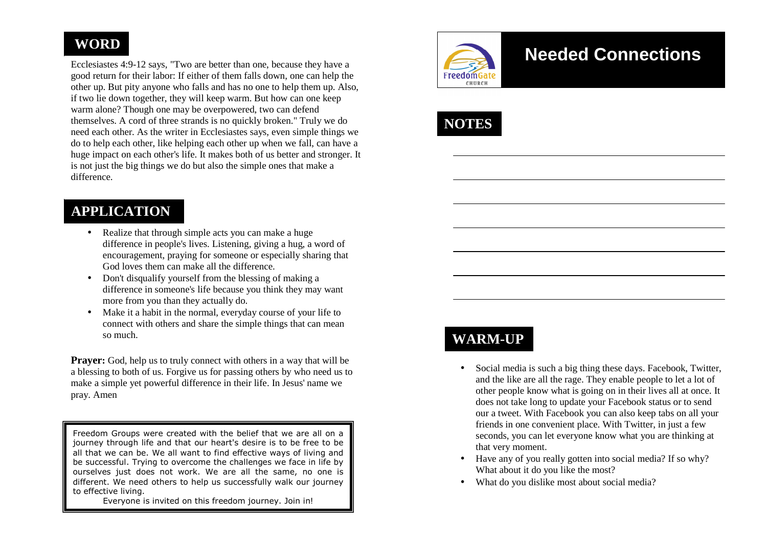# **WORD**

Ecclesiastes 4:9-12 says, "Two are better than one, because they have a good return for their labor: If either of them falls down, one can help the other up. But pity anyone who falls and has no one to help them up. Also, if two lie down together, they will keep warm. But how can one keep warm alone? Though one may be overpowered, two can defend themselves. A cord of three strands is no quickly broken." Truly we do need each other. As the writer in Ecclesiastes says, even simple things we do to help each other, like helping each other up when we fall, can have a huge impact on each other's life. It makes both of us better and stronger. It is not just the big things we do but also the simple ones that make a difference.

# **APPLICATION**

- Realize that through simple acts you can make a huge difference in people's lives. Listening, giving a hug, a word of encouragement, praying for someone or especially sharing that God loves them can make all the difference.
- Don't disqualify yourself from the blessing of making a difference in someone's life because you think they may want more from you than they actually do.
- Make it a habit in the normal, everyday course of your life to connect with others and share the simple things that can mean so much.

**Prayer:** God, help us to truly connect with others in a way that will be a blessing to both of us. Forgive us for passing others by who need us to make a simple yet powerful difference in their life. In Jesus' name we pray. Amen

Freedom Groups were created with the belief that we are all on a journey through life and that our heart's desire is to be free to be all that we can be. We all want to find effective ways of living and be successful. Trying to overcome the challenges we face in life by ourselves just does not work. We are all the same, no one is different. We need others to help us successfully walk our journey to effective living.

Everyone is invited on this freedom journey. Join in!



# **Needed Connections**



# **WARM-UP**

- Social media is such a big thing these days. Facebook, Twitter, and the like are all the rage. They enable people to let a lot of other people know what is going on in their lives all at once. It does not take long to update your Facebook status or to send our a tweet. With Facebook you can also keep tabs on all your friends in one convenient place. With Twitter, in just a few seconds, you can let everyone know what you are thinking at that very moment.
- Have any of you really gotten into social media? If so why? What about it do you like the most?
- What do you dislike most about social media?